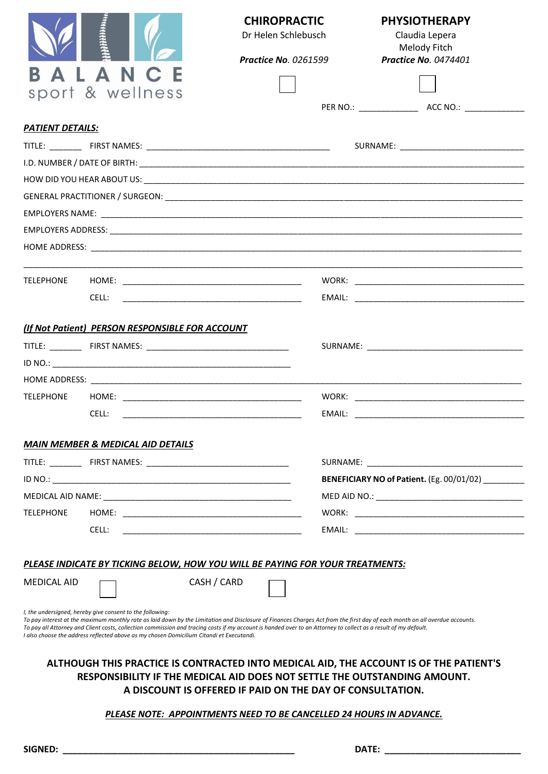|                         |                                                                                                                                                       |             | <b>CHIROPRACTIC</b>                                                                                                                                             | <b>PHYSIOTHERAPY</b>                                                                                                                                                        |  |  |  |  |  |
|-------------------------|-------------------------------------------------------------------------------------------------------------------------------------------------------|-------------|-----------------------------------------------------------------------------------------------------------------------------------------------------------------|-----------------------------------------------------------------------------------------------------------------------------------------------------------------------------|--|--|--|--|--|
|                         |                                                                                                                                                       |             | Dr Helen Schlebusch                                                                                                                                             | Claudia Lepera                                                                                                                                                              |  |  |  |  |  |
|                         |                                                                                                                                                       |             | <b>Practice No. 0261599</b>                                                                                                                                     | Melody Fitch<br><b>Practice No. 0474401</b>                                                                                                                                 |  |  |  |  |  |
|                         | ALANC                                                                                                                                                 |             |                                                                                                                                                                 |                                                                                                                                                                             |  |  |  |  |  |
|                         | sport & wellness                                                                                                                                      |             |                                                                                                                                                                 |                                                                                                                                                                             |  |  |  |  |  |
|                         |                                                                                                                                                       |             |                                                                                                                                                                 |                                                                                                                                                                             |  |  |  |  |  |
| <b>PATIENT DETAILS:</b> |                                                                                                                                                       |             |                                                                                                                                                                 |                                                                                                                                                                             |  |  |  |  |  |
|                         |                                                                                                                                                       |             |                                                                                                                                                                 | SURNAME: __________________________________                                                                                                                                 |  |  |  |  |  |
|                         |                                                                                                                                                       |             |                                                                                                                                                                 |                                                                                                                                                                             |  |  |  |  |  |
|                         |                                                                                                                                                       |             |                                                                                                                                                                 |                                                                                                                                                                             |  |  |  |  |  |
|                         |                                                                                                                                                       |             |                                                                                                                                                                 |                                                                                                                                                                             |  |  |  |  |  |
|                         |                                                                                                                                                       |             |                                                                                                                                                                 |                                                                                                                                                                             |  |  |  |  |  |
|                         |                                                                                                                                                       |             |                                                                                                                                                                 |                                                                                                                                                                             |  |  |  |  |  |
|                         |                                                                                                                                                       |             |                                                                                                                                                                 |                                                                                                                                                                             |  |  |  |  |  |
| <b>TELEPHONE</b>        |                                                                                                                                                       |             |                                                                                                                                                                 |                                                                                                                                                                             |  |  |  |  |  |
|                         |                                                                                                                                                       |             |                                                                                                                                                                 |                                                                                                                                                                             |  |  |  |  |  |
|                         |                                                                                                                                                       |             |                                                                                                                                                                 |                                                                                                                                                                             |  |  |  |  |  |
|                         | (If Not Patient) PERSON RESPONSIBLE FOR ACCOUNT                                                                                                       |             |                                                                                                                                                                 |                                                                                                                                                                             |  |  |  |  |  |
|                         |                                                                                                                                                       |             |                                                                                                                                                                 |                                                                                                                                                                             |  |  |  |  |  |
|                         |                                                                                                                                                       |             |                                                                                                                                                                 |                                                                                                                                                                             |  |  |  |  |  |
|                         |                                                                                                                                                       |             |                                                                                                                                                                 |                                                                                                                                                                             |  |  |  |  |  |
| <b>TELEPHONE</b>        |                                                                                                                                                       |             |                                                                                                                                                                 |                                                                                                                                                                             |  |  |  |  |  |
|                         | CELL:                                                                                                                                                 |             |                                                                                                                                                                 |                                                                                                                                                                             |  |  |  |  |  |
|                         | <b>MAIN MEMBER &amp; MEDICAL AID DETAILS</b>                                                                                                          |             |                                                                                                                                                                 |                                                                                                                                                                             |  |  |  |  |  |
|                         |                                                                                                                                                       |             |                                                                                                                                                                 |                                                                                                                                                                             |  |  |  |  |  |
|                         |                                                                                                                                                       |             |                                                                                                                                                                 | BENEFICIARY NO of Patient. (Eg. 00/01/02)                                                                                                                                   |  |  |  |  |  |
|                         |                                                                                                                                                       |             |                                                                                                                                                                 |                                                                                                                                                                             |  |  |  |  |  |
| <b>TELEPHONE</b>        |                                                                                                                                                       |             |                                                                                                                                                                 |                                                                                                                                                                             |  |  |  |  |  |
|                         | CELL:                                                                                                                                                 |             |                                                                                                                                                                 |                                                                                                                                                                             |  |  |  |  |  |
|                         |                                                                                                                                                       |             |                                                                                                                                                                 |                                                                                                                                                                             |  |  |  |  |  |
|                         |                                                                                                                                                       |             | PLEASE INDICATE BY TICKING BELOW, HOW YOU WILL BE PAYING FOR YOUR TREATMENTS:                                                                                   |                                                                                                                                                                             |  |  |  |  |  |
| <b>MEDICAL AID</b>      |                                                                                                                                                       | CASH / CARD |                                                                                                                                                                 |                                                                                                                                                                             |  |  |  |  |  |
|                         |                                                                                                                                                       |             |                                                                                                                                                                 |                                                                                                                                                                             |  |  |  |  |  |
|                         | I, the undersigned, hereby give consent to the following:<br>I also choose the address reflected above as my chosen Domicilium Citandi et Executandi. |             | To pay all Attorney and Client costs, collection commission and tracing costs if my account is handed over to an Attorney to collect as a result of my default. | To pay interest at the maximum monthly rate as laid down by the Limitation and Disclosure of Finances Charges Act from the first day of each month on all overdue accounts. |  |  |  |  |  |
|                         |                                                                                                                                                       |             |                                                                                                                                                                 | ALTHOUGH THIS PRACTICE IS CONTRACTED INTO MEDICAL AID, THE ACCOUNT IS OF THE PATIENT'S                                                                                      |  |  |  |  |  |
|                         |                                                                                                                                                       |             |                                                                                                                                                                 | RESPONSIBILITY IF THE MEDICAL AID DOES NOT SETTLE THE OUTSTANDING AMOUNT.                                                                                                   |  |  |  |  |  |
|                         |                                                                                                                                                       |             | A DISCOUNT IS OFFERED IF PAID ON THE DAY OF CONSULTATION.                                                                                                       |                                                                                                                                                                             |  |  |  |  |  |
|                         |                                                                                                                                                       |             | PLEASE NOTE: APPOINTMENTS NEED TO BE CANCELLED 24 HOURS IN ADVANCE.                                                                                             |                                                                                                                                                                             |  |  |  |  |  |
|                         |                                                                                                                                                       |             |                                                                                                                                                                 |                                                                                                                                                                             |  |  |  |  |  |
|                         |                                                                                                                                                       |             |                                                                                                                                                                 |                                                                                                                                                                             |  |  |  |  |  |